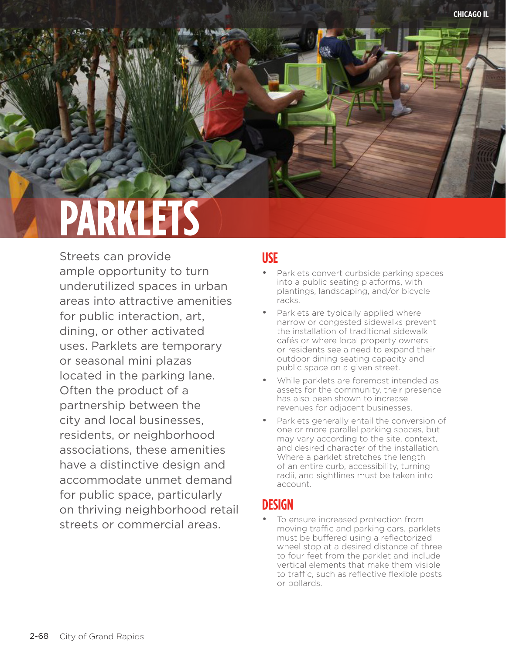# **PARKLETS**

Streets can provide ample opportunity to turn underutilized spaces in urban areas into attractive amenities for public interaction, art, dining, or other activated uses. Parklets are temporary or seasonal mini plazas located in the parking lane. Often the product of a partnership between the city and local businesses, residents, or neighborhood associations, these amenities have a distinctive design and accommodate unmet demand for public space, particularly on thriving neighborhood retail streets or commercial areas.

#### **USE**

- Parklets convert curbside parking spaces into a public seating platforms, with plantings, landscaping, and/or bicycle racks.
- Parklets are typically applied where narrow or congested sidewalks prevent the installation of traditional sidewalk cafés or where local property owners or residents see a need to expand their outdoor dining seating capacity and public space on a given street.
- While parklets are foremost intended as assets for the community, their presence has also been shown to increase revenues for adjacent businesses.
- Parklets generally entail the conversion of one or more parallel parking spaces, but may vary according to the site, context, and desired character of the installation. Where a parklet stretches the length of an entire curb, accessibility, turning radii, and sightlines must be taken into account.

## **DESIGN**

To ensure increased protection from moving traffic and parking cars, parklets must be buffered using a reflectorized wheel stop at a desired distance of three to four feet from the parklet and include vertical elements that make them visible to traffic, such as reflective flexible posts or bollards.